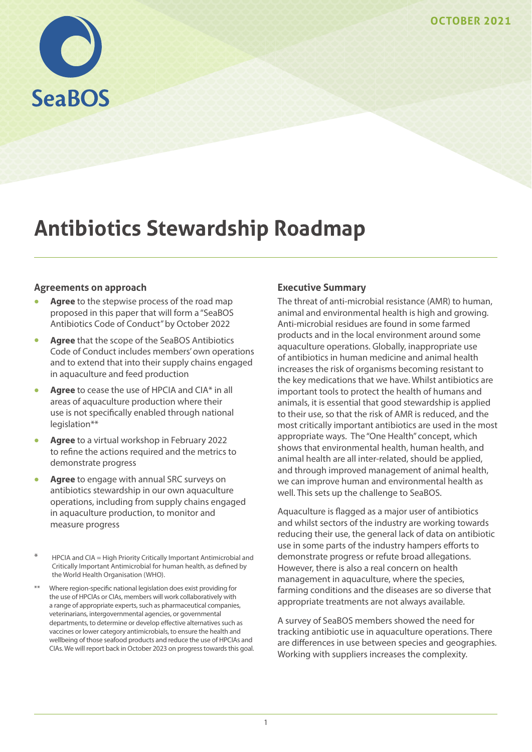

# **Antibiotics Stewardship Roadmap**

#### **Agreements on approach**

- **• Agree** to the stepwise process of the road map proposed in this paper that will form a "SeaBOS Antibiotics Code of Conduct" by October 2022
- **• Agree** that the scope of the SeaBOS Antibiotics Code of Conduct includes members' own operations and to extend that into their supply chains engaged in aquaculture and feed production
- **• Agree** to cease the use of HPCIA and CIA\* in all areas of aquaculture production where their use is not specifically enabled through national legislation\*\*
- **• Agree** to a virtual workshop in February 2022 to refine the actions required and the metrics to demonstrate progress
- **• Agree** to engage with annual SRC surveys on antibiotics stewardship in our own aquaculture operations, including from supply chains engaged in aquaculture production, to monitor and measure progress
- HPCIA and CIA = High Priority Critically Important Antimicrobial and Critically Important Antimicrobial for human health, as defined by the World Health Organisation (WHO).
- Where region-specific national legislation does exist providing for the use of HPCIAs or CIAs, members will work collaboratively with a range of appropriate experts, such as pharmaceutical companies, veterinarians, intergovernmental agencies, or governmental departments, to determine or develop effective alternatives such as vaccines or lower category antimicrobials, to ensure the health and wellbeing of those seafood products and reduce the use of HPCIAs and CIAs. We will report back in October 2023 on progress towards this goal.

## **Executive Summary**

The threat of anti-microbial resistance (AMR) to human, animal and environmental health is high and growing. Anti-microbial residues are found in some farmed products and in the local environment around some aquaculture operations. Globally, inappropriate use of antibiotics in human medicine and animal health increases the risk of organisms becoming resistant to the key medications that we have. Whilst antibiotics are important tools to protect the health of humans and animals, it is essential that good stewardship is applied to their use, so that the risk of AMR is reduced, and the most critically important antibiotics are used in the most appropriate ways. The "One Health" concept, which shows that environmental health, human health, and animal health are all inter-related, should be applied, and through improved management of animal health, we can improve human and environmental health as well. This sets up the challenge to SeaBOS.

Aquaculture is flagged as a major user of antibiotics and whilst sectors of the industry are working towards reducing their use, the general lack of data on antibiotic use in some parts of the industry hampers efforts to demonstrate progress or refute broad allegations. However, there is also a real concern on health management in aquaculture, where the species, farming conditions and the diseases are so diverse that appropriate treatments are not always available.

A survey of SeaBOS members showed the need for tracking antibiotic use in aquaculture operations. There are differences in use between species and geographies. Working with suppliers increases the complexity.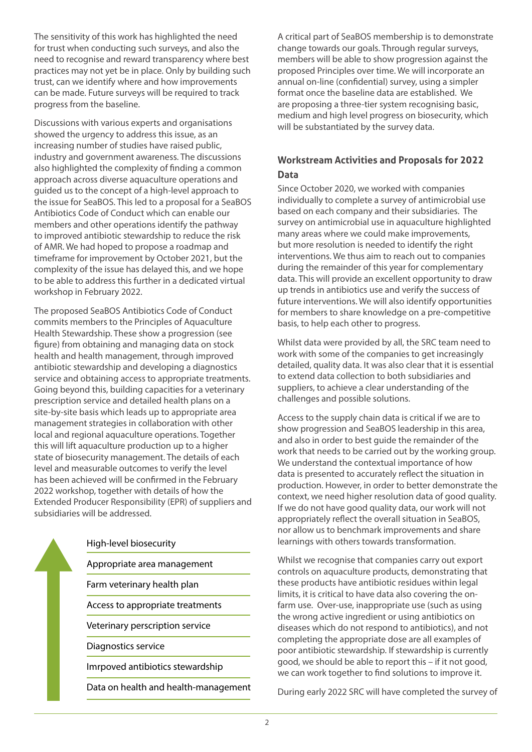The sensitivity of this work has highlighted the need for trust when conducting such surveys, and also the need to recognise and reward transparency where best practices may not yet be in place. Only by building such trust, can we identify where and how improvements can be made. Future surveys will be required to track progress from the baseline.

Discussions with various experts and organisations showed the urgency to address this issue, as an increasing number of studies have raised public, industry and government awareness. The discussions also highlighted the complexity of finding a common approach across diverse aquaculture operations and guided us to the concept of a high-level approach to the issue for SeaBOS. This led to a proposal for a SeaBOS Antibiotics Code of Conduct which can enable our members and other operations identify the pathway to improved antibiotic stewardship to reduce the risk of AMR. We had hoped to propose a roadmap and timeframe for improvement by October 2021, but the complexity of the issue has delayed this, and we hope to be able to address this further in a dedicated virtual workshop in February 2022.

The proposed SeaBOS Antibiotics Code of Conduct commits members to the Principles of Aquaculture Health Stewardship. These show a progression (see figure) from obtaining and managing data on stock health and health management, through improved antibiotic stewardship and developing a diagnostics service and obtaining access to appropriate treatments. Going beyond this, building capacities for a veterinary prescription service and detailed health plans on a site-by-site basis which leads up to appropriate area management strategies in collaboration with other local and regional aquaculture operations. Together this will lift aquaculture production up to a higher state of biosecurity management. The details of each level and measurable outcomes to verify the level has been achieved will be confirmed in the February 2022 workshop, together with details of how the Extended Producer Responsibility (EPR) of suppliers and subsidiaries will be addressed.

| High-level biosecurity               |
|--------------------------------------|
| Appropriate area management          |
| Farm veterinary health plan          |
| Access to appropriate treatments     |
| Veterinary perscription service      |
| Diagnostics service                  |
| Imrpoved antibiotics stewardship     |
| Data on health and health-management |
|                                      |

A critical part of SeaBOS membership is to demonstrate change towards our goals. Through regular surveys, members will be able to show progression against the proposed Principles over time. We will incorporate an annual on-line (confidential) survey, using a simpler format once the baseline data are established. We are proposing a three-tier system recognising basic, medium and high level progress on biosecurity, which will be substantiated by the survey data.

## **Workstream Activities and Proposals for 2022 Data**

Since October 2020, we worked with companies individually to complete a survey of antimicrobial use based on each company and their subsidiaries. The survey on antimicrobial use in aquaculture highlighted many areas where we could make improvements, but more resolution is needed to identify the right interventions. We thus aim to reach out to companies during the remainder of this year for complementary data. This will provide an excellent opportunity to draw up trends in antibiotics use and verify the success of future interventions. We will also identify opportunities for members to share knowledge on a pre-competitive basis, to help each other to progress.

Whilst data were provided by all, the SRC team need to work with some of the companies to get increasingly detailed, quality data. It was also clear that it is essential to extend data collection to both subsidiaries and suppliers, to achieve a clear understanding of the challenges and possible solutions.

Access to the supply chain data is critical if we are to show progression and SeaBOS leadership in this area, and also in order to best guide the remainder of the work that needs to be carried out by the working group. We understand the contextual importance of how data is presented to accurately reflect the situation in production. However, in order to better demonstrate the context, we need higher resolution data of good quality. If we do not have good quality data, our work will not appropriately reflect the overall situation in SeaBOS, nor allow us to benchmark improvements and share learnings with others towards transformation.

Whilst we recognise that companies carry out export controls on aquaculture products, demonstrating that these products have antibiotic residues within legal limits, it is critical to have data also covering the onfarm use. Over-use, inappropriate use (such as using the wrong active ingredient or using antibiotics on diseases which do not respond to antibiotics), and not completing the appropriate dose are all examples of poor antibiotic stewardship. If stewardship is currently good, we should be able to report this – if it not good, we can work together to find solutions to improve it.

During early 2022 SRC will have completed the survey of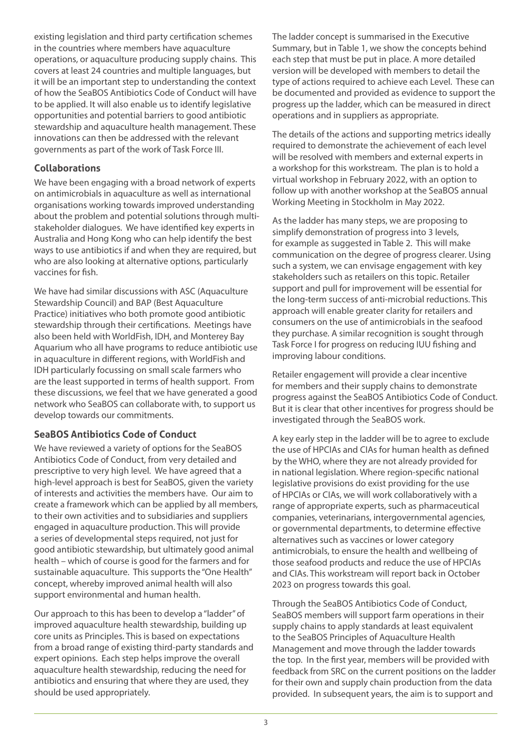existing legislation and third party certification schemes in the countries where members have aquaculture operations, or aquaculture producing supply chains. This covers at least 24 countries and multiple languages, but it will be an important step to understanding the context of how the SeaBOS Antibiotics Code of Conduct will have to be applied. It will also enable us to identify legislative opportunities and potential barriers to good antibiotic stewardship and aquaculture health management. These innovations can then be addressed with the relevant governments as part of the work of Task Force III.

## **Collaborations**

We have been engaging with a broad network of experts on antimicrobials in aquaculture as well as international organisations working towards improved understanding about the problem and potential solutions through multistakeholder dialogues. We have identified key experts in Australia and Hong Kong who can help identify the best ways to use antibiotics if and when they are required, but who are also looking at alternative options, particularly vaccines for fish.

We have had similar discussions with ASC (Aquaculture Stewardship Council) and BAP (Best Aquaculture Practice) initiatives who both promote good antibiotic stewardship through their certifications. Meetings have also been held with WorldFish, IDH, and Monterey Bay Aquarium who all have programs to reduce antibiotic use in aquaculture in different regions, with WorldFish and IDH particularly focussing on small scale farmers who are the least supported in terms of health support. From these discussions, we feel that we have generated a good network who SeaBOS can collaborate with, to support us develop towards our commitments.

## **SeaBOS Antibiotics Code of Conduct**

We have reviewed a variety of options for the SeaBOS Antibiotics Code of Conduct, from very detailed and prescriptive to very high level. We have agreed that a high-level approach is best for SeaBOS, given the variety of interests and activities the members have. Our aim to create a framework which can be applied by all members, to their own activities and to subsidiaries and suppliers engaged in aquaculture production. This will provide a series of developmental steps required, not just for good antibiotic stewardship, but ultimately good animal health – which of course is good for the farmers and for sustainable aquaculture. This supports the "One Health" concept, whereby improved animal health will also support environmental and human health.

Our approach to this has been to develop a "ladder" of improved aquaculture health stewardship, building up core units as Principles. This is based on expectations from a broad range of existing third-party standards and expert opinions. Each step helps improve the overall aquaculture health stewardship, reducing the need for antibiotics and ensuring that where they are used, they should be used appropriately.

The ladder concept is summarised in the Executive Summary, but in Table 1, we show the concepts behind each step that must be put in place. A more detailed version will be developed with members to detail the type of actions required to achieve each Level. These can be documented and provided as evidence to support the progress up the ladder, which can be measured in direct operations and in suppliers as appropriate.

The details of the actions and supporting metrics ideally required to demonstrate the achievement of each level will be resolved with members and external experts in a workshop for this workstream. The plan is to hold a virtual workshop in February 2022, with an option to follow up with another workshop at the SeaBOS annual Working Meeting in Stockholm in May 2022.

As the ladder has many steps, we are proposing to simplify demonstration of progress into 3 levels, for example as suggested in Table 2. This will make communication on the degree of progress clearer. Using such a system, we can envisage engagement with key stakeholders such as retailers on this topic. Retailer support and pull for improvement will be essential for the long-term success of anti-microbial reductions. This approach will enable greater clarity for retailers and consumers on the use of antimicrobials in the seafood they purchase. A similar recognition is sought through Task Force I for progress on reducing IUU fishing and improving labour conditions.

Retailer engagement will provide a clear incentive for members and their supply chains to demonstrate progress against the SeaBOS Antibiotics Code of Conduct. But it is clear that other incentives for progress should be investigated through the SeaBOS work.

A key early step in the ladder will be to agree to exclude the use of HPCIAs and CIAs for human health as defined by the WHO, where they are not already provided for in national legislation. Where region-specific national legislative provisions do exist providing for the use of HPCIAs or CIAs, we will work collaboratively with a range of appropriate experts, such as pharmaceutical companies, veterinarians, intergovernmental agencies, or governmental departments, to determine effective alternatives such as vaccines or lower category antimicrobials, to ensure the health and wellbeing of those seafood products and reduce the use of HPCIAs and CIAs. This workstream will report back in October 2023 on progress towards this goal.

Through the SeaBOS Antibiotics Code of Conduct, SeaBOS members will support farm operations in their supply chains to apply standards at least equivalent to the SeaBOS Principles of Aquaculture Health Management and move through the ladder towards the top. In the first year, members will be provided with feedback from SRC on the current positions on the ladder for their own and supply chain production from the data provided. In subsequent years, the aim is to support and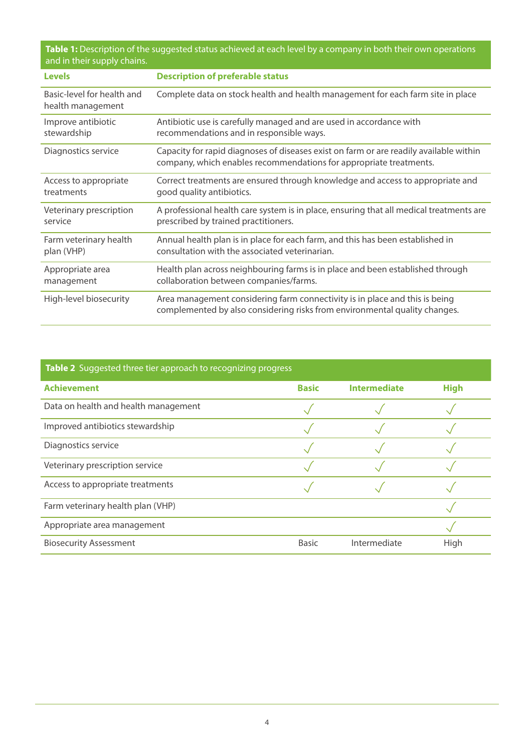**Table 1:** Description of the suggested status achieved at each level by a company in both their own operations and in their supply chains.

| <b>Levels</b>                                   | <b>Description of preferable status</b>                                                                                                                      |
|-------------------------------------------------|--------------------------------------------------------------------------------------------------------------------------------------------------------------|
| Basic-level for health and<br>health management | Complete data on stock health and health management for each farm site in place                                                                              |
| Improve antibiotic                              | Antibiotic use is carefully managed and are used in accordance with                                                                                          |
| stewardship                                     | recommendations and in responsible ways.                                                                                                                     |
| Diagnostics service                             | Capacity for rapid diagnoses of diseases exist on farm or are readily available within<br>company, which enables recommendations for appropriate treatments. |
| Access to appropriate                           | Correct treatments are ensured through knowledge and access to appropriate and                                                                               |
| treatments                                      | good quality antibiotics.                                                                                                                                    |
| Veterinary prescription                         | A professional health care system is in place, ensuring that all medical treatments are                                                                      |
| service                                         | prescribed by trained practitioners.                                                                                                                         |
| Farm veterinary health                          | Annual health plan is in place for each farm, and this has been established in                                                                               |
| plan (VHP)                                      | consultation with the associated veterinarian.                                                                                                               |
| Appropriate area                                | Health plan across neighbouring farms is in place and been established through                                                                               |
| management                                      | collaboration between companies/farms.                                                                                                                       |
| High-level biosecurity                          | Area management considering farm connectivity is in place and this is being<br>complemented by also considering risks from environmental quality changes.    |

| Table 2 Suggested three tier approach to recognizing progress |              |                     |             |  |  |
|---------------------------------------------------------------|--------------|---------------------|-------------|--|--|
| <b>Achievement</b>                                            | <b>Basic</b> | <b>Intermediate</b> | <b>High</b> |  |  |
| Data on health and health management                          |              |                     |             |  |  |
| Improved antibiotics stewardship                              |              |                     |             |  |  |
| Diagnostics service                                           |              |                     |             |  |  |
| Veterinary prescription service                               |              |                     |             |  |  |
| Access to appropriate treatments                              |              |                     |             |  |  |
| Farm veterinary health plan (VHP)                             |              |                     |             |  |  |
| Appropriate area management                                   |              |                     |             |  |  |
| <b>Biosecurity Assessment</b>                                 | <b>Basic</b> | Intermediate        | High        |  |  |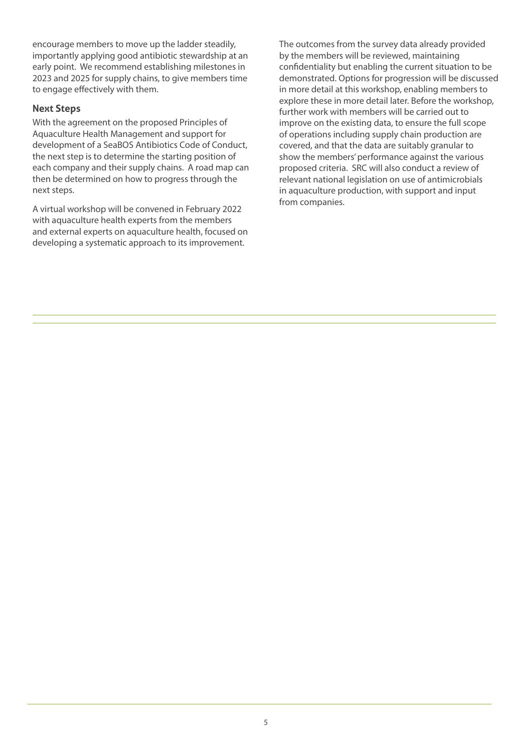encourage members to move up the ladder steadily, importantly applying good antibiotic stewardship at an early point. We recommend establishing milestones in 2023 and 2025 for supply chains, to give members time to engage effectively with them.

## **Next Steps**

With the agreement on the proposed Principles of Aquaculture Health Management and support for development of a SeaBOS Antibiotics Code of Conduct, the next step is to determine the starting position of each company and their supply chains. A road map can then be determined on how to progress through the next steps.

A virtual workshop will be convened in February 2022 with aquaculture health experts from the members and external experts on aquaculture health, focused on developing a systematic approach to its improvement.

The outcomes from the survey data already provided by the members will be reviewed, maintaining confidentiality but enabling the current situation to be demonstrated. Options for progression will be discussed in more detail at this workshop, enabling members to explore these in more detail later. Before the workshop, further work with members will be carried out to improve on the existing data, to ensure the full scope of operations including supply chain production are covered, and that the data are suitably granular to show the members' performance against the various proposed criteria. SRC will also conduct a review of relevant national legislation on use of antimicrobials in aquaculture production, with support and input from companies.